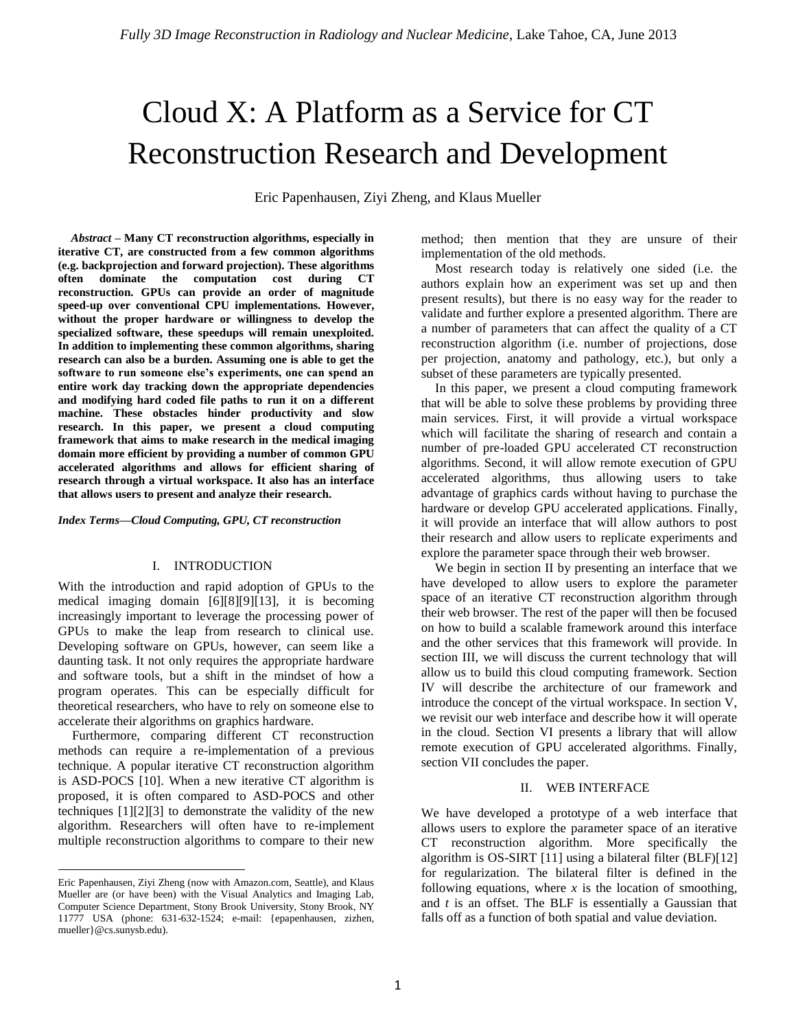# Cloud X: A Platform as a Service for CT Reconstruction Research and Development

Eric Papenhausen, Ziyi Zheng, and Klaus Mueller

*Abstract –* **Many CT reconstruction algorithms, especially in iterative CT, are constructed from a few common algorithms (e.g. backprojection and forward projection). These algorithms often dominate the computation cost during CT reconstruction. GPUs can provide an order of magnitude speed-up over conventional CPU implementations. However, without the proper hardware or willingness to develop the specialized software, these speedups will remain unexploited. In addition to implementing these common algorithms, sharing research can also be a burden. Assuming one is able to get the software to run someone else's experiments, one can spend an entire work day tracking down the appropriate dependencies and modifying hard coded file paths to run it on a different machine. These obstacles hinder productivity and slow research. In this paper, we present a cloud computing framework that aims to make research in the medical imaging domain more efficient by providing a number of common GPU accelerated algorithms and allows for efficient sharing of research through a virtual workspace. It also has an interface that allows users to present and analyze their research.**

*Index Terms—Cloud Computing, GPU, CT reconstruction*

## I. INTRODUCTION

With the introduction and rapid adoption of GPUs to the medical imaging domain [6][8][9][13], it is becoming increasingly important to leverage the processing power of GPUs to make the leap from research to clinical use. Developing software on GPUs, however, can seem like a daunting task. It not only requires the appropriate hardware and software tools, but a shift in the mindset of how a program operates. This can be especially difficult for theoretical researchers, who have to rely on someone else to accelerate their algorithms on graphics hardware.

Furthermore, comparing different CT reconstruction methods can require a re-implementation of a previous technique. A popular iterative CT reconstruction algorithm is ASD-POCS [10]. When a new iterative CT algorithm is proposed, it is often compared to ASD-POCS and other techniques [1][2][3] to demonstrate the validity of the new algorithm. Researchers will often have to re-implement multiple reconstruction algorithms to compare to their new

 $\overline{\phantom{a}}$ 

method; then mention that they are unsure of their implementation of the old methods.

Most research today is relatively one sided (i.e. the authors explain how an experiment was set up and then present results), but there is no easy way for the reader to validate and further explore a presented algorithm. There are a number of parameters that can affect the quality of a CT reconstruction algorithm (i.e. number of projections, dose per projection, anatomy and pathology, etc.), but only a subset of these parameters are typically presented.

In this paper, we present a cloud computing framework that will be able to solve these problems by providing three main services. First, it will provide a virtual workspace which will facilitate the sharing of research and contain a number of pre-loaded GPU accelerated CT reconstruction algorithms. Second, it will allow remote execution of GPU accelerated algorithms, thus allowing users to take advantage of graphics cards without having to purchase the hardware or develop GPU accelerated applications. Finally, it will provide an interface that will allow authors to post their research and allow users to replicate experiments and explore the parameter space through their web browser.

We begin in section II by presenting an interface that we have developed to allow users to explore the parameter space of an iterative CT reconstruction algorithm through their web browser. The rest of the paper will then be focused on how to build a scalable framework around this interface and the other services that this framework will provide. In section III, we will discuss the current technology that will allow us to build this cloud computing framework. Section IV will describe the architecture of our framework and introduce the concept of the virtual workspace. In section V, we revisit our web interface and describe how it will operate in the cloud. Section VI presents a library that will allow remote execution of GPU accelerated algorithms. Finally, section VII concludes the paper.

## II. WEB INTERFACE

We have developed a prototype of a web interface that allows users to explore the parameter space of an iterative CT reconstruction algorithm. More specifically the algorithm is OS-SIRT [11] using a bilateral filter (BLF)[12] for regularization. The bilateral filter is defined in the following equations, where  $x$  is the location of smoothing, and *t* is an offset. The BLF is essentially a Gaussian that falls off as a function of both spatial and value deviation.

Eric Papenhausen, Ziyi Zheng (now with Amazon.com, Seattle), and Klaus Mueller are (or have been) with the Visual Analytics and Imaging Lab, Computer Science Department, Stony Brook University, Stony Brook, NY 11777 USA (phone: 631-632-1524; e-mail: {epapenhausen, zizhen, mueller}@cs.sunysb.edu).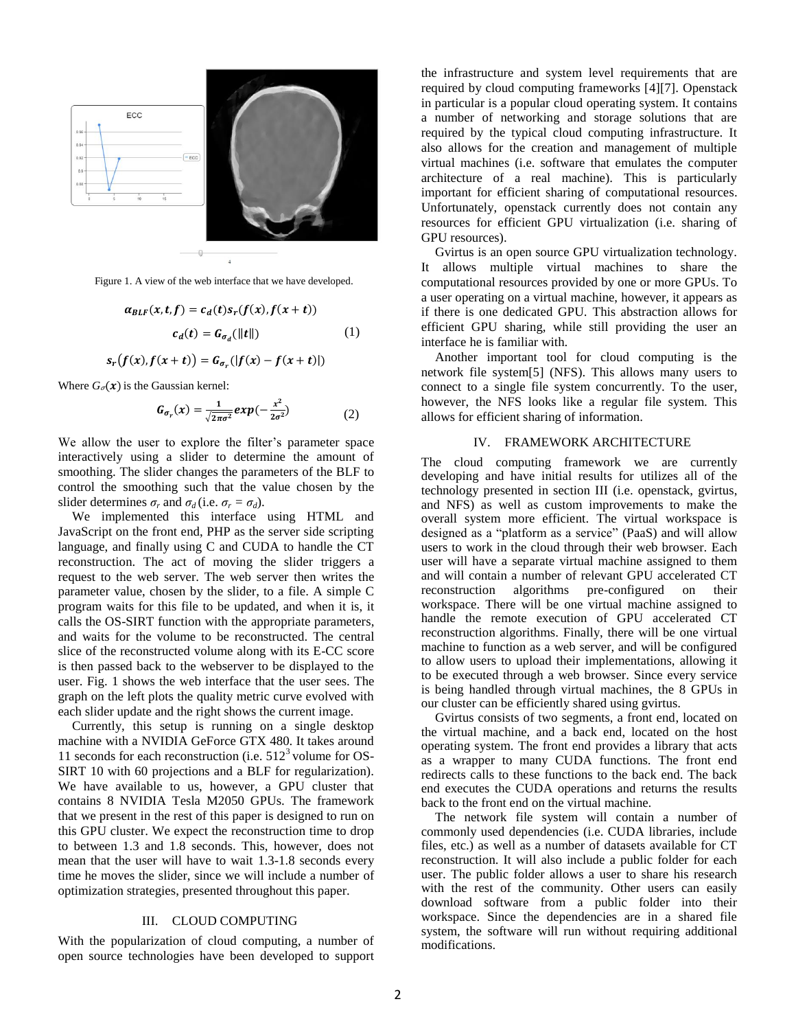

Figure 1. A view of the web interface that we have developed.

$$
\alpha_{BLF}(x, t, f) = c_d(t)s_r(f(x), f(x+t))
$$

$$
c_d(t) = G_{\sigma_d}(||t||)
$$
(1)

$$
s_r(f(x),f(x+t))=G_{\sigma_r}(|f(x)-f(x+t)|)
$$

Where  $G_{\sigma}(x)$  is the Gaussian kernel:

$$
G_{\sigma_r}(x) = \frac{1}{\sqrt{2\pi\sigma^2}} exp(-\frac{x^2}{2\sigma^2})
$$
 (2)

We allow the user to explore the filter's parameter space interactively using a slider to determine the amount of smoothing. The slider changes the parameters of the BLF to control the smoothing such that the value chosen by the slider determines  $\sigma_r$  and  $\sigma_d$  (i.e.  $\sigma_r = \sigma_d$ ).

We implemented this interface using HTML and JavaScript on the front end, PHP as the server side scripting language, and finally using C and CUDA to handle the CT reconstruction. The act of moving the slider triggers a request to the web server. The web server then writes the parameter value, chosen by the slider, to a file. A simple C program waits for this file to be updated, and when it is, it calls the OS-SIRT function with the appropriate parameters, and waits for the volume to be reconstructed. The central slice of the reconstructed volume along with its E-CC score is then passed back to the webserver to be displayed to the user. Fig. 1 shows the web interface that the user sees. The graph on the left plots the quality metric curve evolved with each slider update and the right shows the current image.

Currently, this setup is running on a single desktop machine with a NVIDIA GeForce GTX 480. It takes around 11 seconds for each reconstruction (i.e.  $512<sup>3</sup>$  volume for OS-SIRT 10 with 60 projections and a BLF for regularization). We have available to us, however, a GPU cluster that contains 8 NVIDIA Tesla M2050 GPUs. The framework that we present in the rest of this paper is designed to run on this GPU cluster. We expect the reconstruction time to drop to between 1.3 and 1.8 seconds. This, however, does not mean that the user will have to wait 1.3-1.8 seconds every time he moves the slider, since we will include a number of optimization strategies, presented throughout this paper.

#### III. CLOUD COMPUTING

With the popularization of cloud computing, a number of open source technologies have been developed to support the infrastructure and system level requirements that are required by cloud computing frameworks [4][7]. Openstack in particular is a popular cloud operating system. It contains a number of networking and storage solutions that are required by the typical cloud computing infrastructure. It also allows for the creation and management of multiple virtual machines (i.e. software that emulates the computer architecture of a real machine). This is particularly important for efficient sharing of computational resources. Unfortunately, openstack currently does not contain any resources for efficient GPU virtualization (i.e. sharing of GPU resources).

Gvirtus is an open source GPU virtualization technology. It allows multiple virtual machines to share the computational resources provided by one or more GPUs. To a user operating on a virtual machine, however, it appears as if there is one dedicated GPU. This abstraction allows for efficient GPU sharing, while still providing the user an interface he is familiar with.

Another important tool for cloud computing is the network file system[5] (NFS). This allows many users to connect to a single file system concurrently. To the user, however, the NFS looks like a regular file system. This allows for efficient sharing of information.

### IV. FRAMEWORK ARCHITECTURE

The cloud computing framework we are currently developing and have initial results for utilizes all of the technology presented in section III (i.e. openstack, gvirtus, and NFS) as well as custom improvements to make the overall system more efficient. The virtual workspace is designed as a "platform as a service" (PaaS) and will allow users to work in the cloud through their web browser. Each user will have a separate virtual machine assigned to them and will contain a number of relevant GPU accelerated CT reconstruction algorithms pre-configured on their workspace. There will be one virtual machine assigned to handle the remote execution of GPU accelerated CT reconstruction algorithms. Finally, there will be one virtual machine to function as a web server, and will be configured to allow users to upload their implementations, allowing it to be executed through a web browser. Since every service is being handled through virtual machines, the 8 GPUs in our cluster can be efficiently shared using gvirtus.

Gvirtus consists of two segments, a front end, located on the virtual machine, and a back end, located on the host operating system. The front end provides a library that acts as a wrapper to many CUDA functions. The front end redirects calls to these functions to the back end. The back end executes the CUDA operations and returns the results back to the front end on the virtual machine.

The network file system will contain a number of commonly used dependencies (i.e. CUDA libraries, include files, etc.) as well as a number of datasets available for CT reconstruction. It will also include a public folder for each user. The public folder allows a user to share his research with the rest of the community. Other users can easily download software from a public folder into their workspace. Since the dependencies are in a shared file system, the software will run without requiring additional modifications.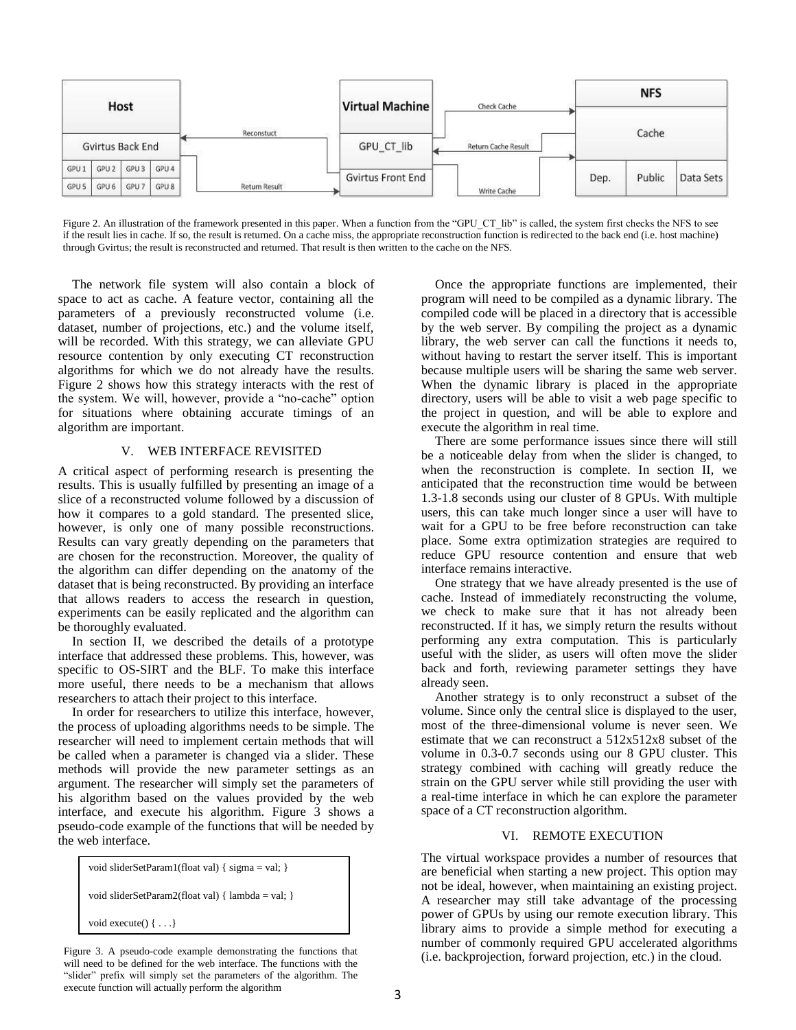

Figure 2. An illustration of the framework presented in this paper. When a function from the "GPU\_CT\_lib" is called, the system first checks the NFS to see if the result lies in cache. If so, the result is returned. On a cache miss, the appropriate reconstruction function is redirected to the back end (i.e. host machine) through Gvirtus; the result is reconstructed and returned. That result is then written to the cache on the NFS.

The network file system will also contain a block of space to act as cache. A feature vector, containing all the parameters of a previously reconstructed volume (i.e. dataset, number of projections, etc.) and the volume itself, will be recorded. With this strategy, we can alleviate GPU resource contention by only executing CT reconstruction algorithms for which we do not already have the results. Figure 2 shows how this strategy interacts with the rest of the system. We will, however, provide a "no-cache" option for situations where obtaining accurate timings of an algorithm are important.

## V. WEB INTERFACE REVISITED

A critical aspect of performing research is presenting the results. This is usually fulfilled by presenting an image of a slice of a reconstructed volume followed by a discussion of how it compares to a gold standard. The presented slice, however, is only one of many possible reconstructions. Results can vary greatly depending on the parameters that are chosen for the reconstruction. Moreover, the quality of the algorithm can differ depending on the anatomy of the dataset that is being reconstructed. By providing an interface that allows readers to access the research in question, experiments can be easily replicated and the algorithm can be thoroughly evaluated.

In section II, we described the details of a prototype interface that addressed these problems. This, however, was specific to OS-SIRT and the BLF. To make this interface more useful, there needs to be a mechanism that allows researchers to attach their project to this interface.

In order for researchers to utilize this interface, however, the process of uploading algorithms needs to be simple. The researcher will need to implement certain methods that will be called when a parameter is changed via a slider. These methods will provide the new parameter settings as an argument. The researcher will simply set the parameters of his algorithm based on the values provided by the web interface, and execute his algorithm. Figure 3 shows a pseudo-code example of the functions that will be needed by the web interface.

```
void sliderSetParam1(float val) { sigma = val; }
void sliderSetParam2(float val) { lambda = val; }
void execute() { . . .}
```
Figure 3. A pseudo-code example demonstrating the functions that will need to be defined for the web interface. The functions with the "slider" prefix will simply set the parameters of the algorithm. The execute function will actually perform the algorithm

Once the appropriate functions are implemented, their program will need to be compiled as a dynamic library. The compiled code will be placed in a directory that is accessible by the web server. By compiling the project as a dynamic library, the web server can call the functions it needs to, without having to restart the server itself. This is important because multiple users will be sharing the same web server. When the dynamic library is placed in the appropriate directory, users will be able to visit a web page specific to the project in question, and will be able to explore and execute the algorithm in real time.

There are some performance issues since there will still be a noticeable delay from when the slider is changed, to when the reconstruction is complete. In section II, we anticipated that the reconstruction time would be between 1.3-1.8 seconds using our cluster of 8 GPUs. With multiple users, this can take much longer since a user will have to wait for a GPU to be free before reconstruction can take place. Some extra optimization strategies are required to reduce GPU resource contention and ensure that web interface remains interactive.

One strategy that we have already presented is the use of cache. Instead of immediately reconstructing the volume, we check to make sure that it has not already been reconstructed. If it has, we simply return the results without performing any extra computation. This is particularly useful with the slider, as users will often move the slider back and forth, reviewing parameter settings they have already seen.

Another strategy is to only reconstruct a subset of the volume. Since only the central slice is displayed to the user, most of the three-dimensional volume is never seen. We estimate that we can reconstruct a 512x512x8 subset of the volume in 0.3-0.7 seconds using our 8 GPU cluster. This strategy combined with caching will greatly reduce the strain on the GPU server while still providing the user with a real-time interface in which he can explore the parameter space of a CT reconstruction algorithm.

## VI. REMOTE EXECUTION

The virtual workspace provides a number of resources that are beneficial when starting a new project. This option may not be ideal, however, when maintaining an existing project. A researcher may still take advantage of the processing power of GPUs by using our remote execution library. This library aims to provide a simple method for executing a number of commonly required GPU accelerated algorithms (i.e. backprojection, forward projection, etc.) in the cloud.